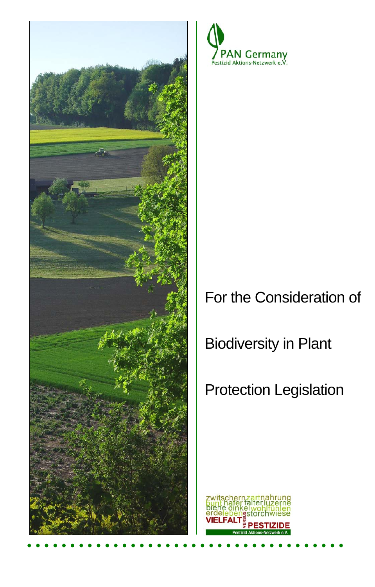



## For the Consideration of

Biodiversity in Plant

# Protection Legislation

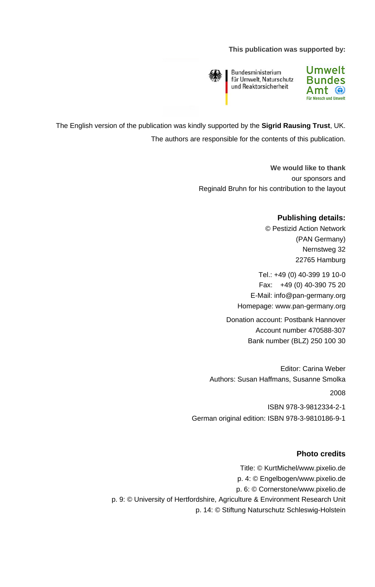#### **This publication was supported by:**



Bundesministerium für Umwelt, Naturschutz und Reaktorsicherheit



The English version of the publication was kindly supported by the **Sigrid Rausing Trust**, UK. The authors are responsible for the contents of this publication.

> **We would like to thank**  our sponsors and Reginald Bruhn for his contribution to the layout

### **Publishing details:**

© Pestizid Action Network (PAN Germany) Nernstweg 32 22765 Hamburg

Tel.: +49 (0) 40-399 19 10-0 Fax: +49 (0) 40-390 75 20 E-Mail: [info@pan-germany.org](mailto:info@pan-germany.org) Homepage: www.pan-germany.org

Donation account: Postbank Hannover Account number 470588-307 Bank number (BLZ) 250 100 30

Editor: Carina Weber Authors: Susan Haffmans, Susanne Smolka 2008

ISBN 978-3-9812334-2-1 German original edition: ISBN 978-3-9810186-9-1

#### **Photo credits**

Title: © KurtMichel/www.pixelio.de p. 4: © Engelbogen/www.pixelio.de p. 6: © Cornerstone/www.pixelio.de p. 9: © University of Hertfordshire, Agriculture & Environment Research Unit p. 14: © Stiftung Naturschutz Schleswig-Holstein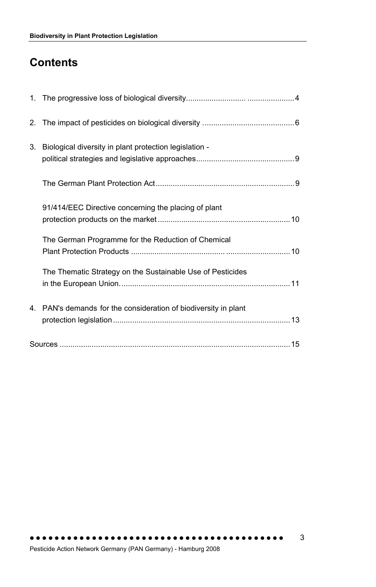## **Contents**

| 3. | Biological diversity in plant protection legislation -       |
|----|--------------------------------------------------------------|
|    |                                                              |
|    | 91/414/EEC Directive concerning the placing of plant         |
|    | The German Programme for the Reduction of Chemical           |
|    | The Thematic Strategy on the Sustainable Use of Pesticides   |
| 4. | PAN's demands for the consideration of biodiversity in plant |
|    |                                                              |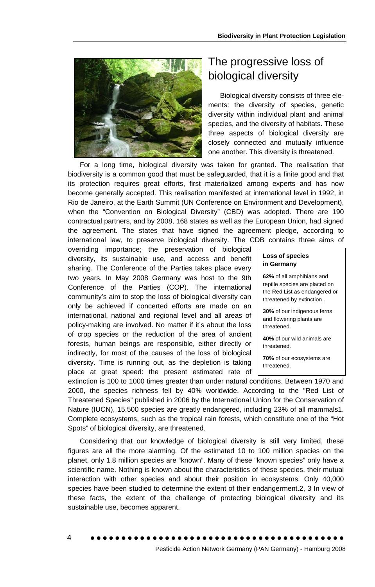

### The progressive loss of biological diversity

Biological diversity consists of three elements: the diversity of species, genetic diversity within individual plant and animal species, and the diversity of habitats. These three aspects of biological diversity are closely connected and mutually influence one another. This diversity is threatened.

For a long time, biological diversity was taken for granted. The realisation that biod iversity is a common good that must be safeguarded, that it is a finite good and that its protection requires great efforts, first materialized among experts and has now become generally accepted. This realisation manifested at international level in 1992, in Rio de Janeiro, at the Earth Summit (UN Conference on Environment and Development), when the "Convention on Biological Diversity" (CBD) was adopted. There are 190 contractual partners, and by 2008, 168 states as well as the European Union, had signed the agreement. The states that have signed the agreement pledge, according to international law, to preserve biological diversity. The CDB contains three aims of

overriding importance; the preservation of biological diversity, its sustainable use, and access and benefit sharing. The Conference of the Parties takes place every two years. In May 2008 Germany was host to the 9th Conference of the Parties (COP). The international community's aim to stop the loss of biological diversity can only be achieved if concerted efforts are made on an international, national and regional level and all areas of policy-making are involved. No matter if it's about the loss of crop species or the reduction of the area of ancient forests, human beings are responsible, either directly or indirectly, for most of the causes of the loss of biological diversity. Time is running out, as the depletion is taking place at great speed: the present estimated rate of

|  | <b>Loss of species</b> |
|--|------------------------|
|  | in Germany             |

62% of all amphibians and reptile species are placed on the Red List as endangered or threatened by extinction .

30% of our indigenous ferns and flowering plants are threatened.

**40%** of our wild animals are threatened.

**70%** of our ecosystems are threatened.

extinction is 100 to 1000 times greater than under natural conditions. Between 1970 and 2000, the species richness fell by 40% worldwide. According to the "Red List of Threatened Species" published in 2006 by the International Union for the Conservation of Nature (IUCN), 15,500 species are greatly endangered, including 23% of all mammals1. Complete ecosystems, such as the tropical rain forests, which constitute one of the "Hot Spots" of biological diversity, are threatened.

Considering that our knowledge of biological diversity is still very limited, these figu res are all the more alarming. Of the estimated 10 to 100 million species on the planet, only 1.8 million species are "known". Many of these "known species" only have a scientific name. Nothing is known about the characteristics of these species, their mutual interaction with other species and about their position in ecosystems. Only 40,000 species have been studied to determine the extent of their endangerment.2, 3 In view of these facts, the extent of the challenge of protecting biological diversity and its sustainable use, becomes apparent.

4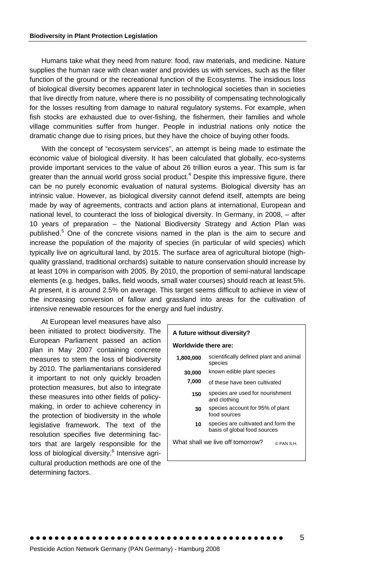Humans take what they need from nature: food, raw materials, and medicine. Nature supplies the human race with clean water and provides us with services, such as the filter function of the ground or the recreational function of the Ecosystems. The insidious loss of biological diversity becomes apparent later in technological societies than in societies that live directly from nature, where there is no possibility of compensating technologically for the losses resulting from damage to natural regulatory systems. For example, when fish stocks are exhausted due to over-fishing, the fishermen, their families and whole village communities suffer from hunger. People in industrial nations only notice the dramatic change due to rising prices, but they have the choice of buying other foods.

With the concept of "ecosystem services", an attempt is being made to estimate the economic value of biological diversity. It has been calculated that globally, eco-systems provide important services to the value of about 26 trillion euros a year. This sum is far greater than the annual world gross social product.<sup>4</sup> Despite this impressive figure, there can be no purely economic evaluation of natural systems. Biological diversity has an intrinsic value. However, as biological diversity cannot defend itself, attempts are being made by way of agreements, contracts and action plans at international, European and national level, to counteract the loss of biological diversity. In Germany, in 2008, – after 10 years of preparation – the National Biodiversity Strategy and Action Plan was published.<sup>5</sup> One of the concrete visions named in the plan is the aim to secure and increase the population of the majority of species (in particular of wild species) which typically live on agricultural land, by 2015. The surface area of agricultural biotope (highquality grassland, traditional orchards) suitable to nature conservation should increase by at least 10% in comparison with 2005. By 2010, the proportion of semi-natural landscape elements (e.g. hedges, balks, field woods, small water courses) should reach at least 5%. At present, it is around 2.5% on average. This target seems difficult to achieve in view of the increasing conversion of fallow and grassland into areas for the cultivation of intensive renewable resources for the energy and fuel industry.

At European level measures have also been initiated to protect biodiversity. The European Parliament passed an action plan in May 2007 containing concrete measures to stem the loss of biodiversity by 2010. The parliamentarians considered it important to not only quickly broaden protection measures, but also to integrate these measures into other fields of policymaking, in order to achieve coherency in the protection of biodiversity in the whole legislative framework. The text of the resolution specifies five determining factors that are largely responsible for the loss of biological diversity.<sup>6</sup> Intensive agricultural production methods are one of the determining factors.

| A future without diversity?                                         |  |  |  |  |  |  |
|---------------------------------------------------------------------|--|--|--|--|--|--|
| Worldwide there are:                                                |  |  |  |  |  |  |
| scientifically defined plant and animal<br>species                  |  |  |  |  |  |  |
| known edible plant species                                          |  |  |  |  |  |  |
| of these have been cultivated                                       |  |  |  |  |  |  |
| species are used for nourishment<br>150<br>and clothing             |  |  |  |  |  |  |
| species account for 95% of plant<br>food sources                    |  |  |  |  |  |  |
| species are cultivated and form the<br>basis of global food sources |  |  |  |  |  |  |
| What shall we live off tomorrow?<br>© PAN S H                       |  |  |  |  |  |  |
|                                                                     |  |  |  |  |  |  |
|                                                                     |  |  |  |  |  |  |

5

Pesticide Action Network Germany (PAN Germany) - Hamburg 2008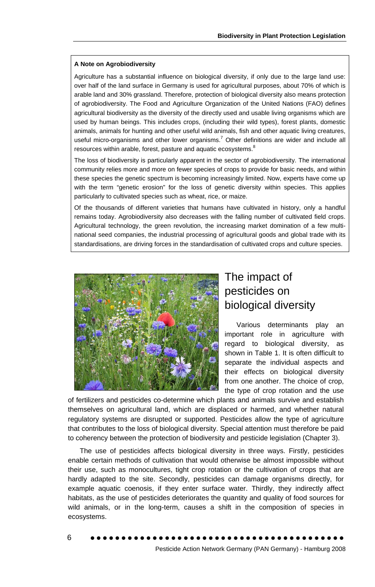#### **A Note on Agrobiodiversity**

Agriculture has a substantial influence on biological diversity, if only due to the large land use: over half of the land surface in Germany is used for agricultural purposes, about 70% of which is arable land and 30% grassland. Therefore, protection of biological diversity also means protection of agrobiodiversity. The Food and Agriculture Organization of the United Nations (FAO) defines agricultural biodiversity as the diversity of the directly used and usable living organisms which are used by human beings. This includes crops, (including their wild types), forest plants, domestic animals, animals for hunting and other useful wild animals, fish and other aquatic living creatures, useful micro-organisms and other lower organisms.<sup>7</sup> Other definitions are wider and include all resources within arable, forest, pasture and aquatic ecosystems. $8$ 

The loss of biodiversity is particularly apparent in the sector of agrobiodiversity. The international community relies more and more on fewer species of crops to provide for basic needs, and within these species the genetic spectrum is becoming increasingly limited. Now, experts have come up with the term "genetic erosion" for the loss of genetic diversity within species. This applies particularly to cultivated species such as wheat, rice, or maize.

Of the thousands of different varieties that humans have cultivated in history, only a handful remains today. Agrobiodiversity also decreases with the falling number of cultivated field crops. Agricultural technology, the green revolution, the increasing market domination of a few multinational seed companies, the industrial processing of agricultural goods and global trade with its standardisations, are driving forces in the standardisation of cultivated crops and culture species.



### The impact of pesticides on biological diversity

Various determinants play an important role in agriculture with regard to biological diversity, as shown in Table 1. It is often difficult to separate the individual aspects and their effects on biological diversity from one another. The choice of crop, the type of crop rotation and the use

of fertilizers and pesticides co-determine which plants and animals survive and establish themselves on agricultural land, which are displaced or harmed, and whether natural regulatory systems are disrupted or supported. Pesticides allow the type of agriculture that contributes to the loss of biological diversity. Special attention must therefore be paid to coherency between the protection of biodiversity and pesticide legislation (Chapter 3).

The use of pesticides affects biological diversity in three ways. Firstly, pesticides enable certain methods of cultivation that would otherwise be almost impossible without their use, such as monocultures, tight crop rotation or the cultivation of crops that are hardly adapted to the site. Secondly, pesticides can damage organisms directly, for example aquatic coenosis, if they enter surface water. Thirdly, they indirectly affect habitats, as the use of pesticides deteriorates the quantity and quality of food sources for wild animals, or in the long-term, causes a shift in the composition of species in ecosystems.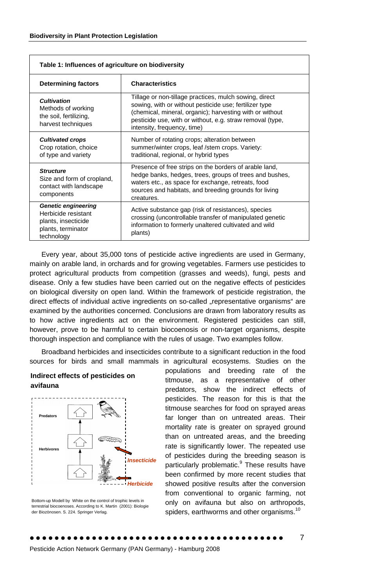| Table 1: Influences of agriculture on biodiversity                                                           |                                                                                                                                                                                                                                                                          |  |  |  |
|--------------------------------------------------------------------------------------------------------------|--------------------------------------------------------------------------------------------------------------------------------------------------------------------------------------------------------------------------------------------------------------------------|--|--|--|
| <b>Determining factors</b>                                                                                   | <b>Characteristics</b>                                                                                                                                                                                                                                                   |  |  |  |
| <b>Cultivation</b><br>Methods of working<br>the soil, fertilizing,<br>harvest techniques                     | Tillage or non-tillage practices, mulch sowing, direct<br>sowing, with or without pesticide use; fertilizer type<br>(chemical, mineral, organic); harvesting with or without<br>pesticide use, with or without, e.g. straw removal (type,<br>intensity, frequency, time) |  |  |  |
| <b>Cultivated crops</b><br>Crop rotation, choice<br>of type and variety                                      | Number of rotating crops; alteration between<br>summer/winter crops, leaf /stem crops. Variety:<br>traditional, regional, or hybrid types                                                                                                                                |  |  |  |
| <b>Structure</b><br>Size and form of cropland,<br>contact with landscape<br>components                       | Presence of free strips on the borders of arable land,<br>hedge banks, hedges, trees, groups of trees and bushes,<br>waters etc., as space for exchange, retreats, food<br>sources and habitats, and breeding grounds for living<br>creatures.                           |  |  |  |
| <b>Genetic engineering</b><br>Herbicide resistant<br>plants, insecticide<br>plants, terminator<br>technology | Active substance gap (risk of resistances), species<br>crossing (uncontrollable transfer of manipulated genetic<br>information to formerly unaltered cultivated and wild<br>plants)                                                                                      |  |  |  |

Every year, about 35,000 tons of pesticide active ingredients are used in Germany, mainly on arable land, in orchards and for growing vegetables. Farmers use pesticides to protect agricultural products from competition (grasses and weeds), fungi, pests and disease. Only a few studies have been carried out on the negative effects of pesticides on biological diversity on open land. Within the framework of pesticide registration, the direct effects of individual active ingredients on so-called "representative organisms" are examined by the authorities concerned. Conclusions are drawn from laboratory results as to how active ingredients act on the environment. Registered pesticides can still, however, prove to be harmful to certain [biocoenosis](http://dict.leo.org/ende?lp=ende&p=thMx..&search=biocenosis) or non-target organisms, despite thorough inspection and compliance with the rules of usage. Two examples follow.

Broadband herbicides and insecticides contribute to a significant reduction in the food sources for birds and small mammals in agricultural ecosystems. Studies on the





populations and breeding rate of the titmouse, as a representative of other predators, show the indirect effects of pesticides. The reason for this is that the titmouse searches for food on sprayed areas far longer than on untreated areas. Their mortality rate is greater on sprayed ground than on untreated areas, and the breeding rate is significantly lower. The repeated use of pesticides during the breeding season is particularly problematic.<sup>9</sup> These results have been confirmed by more recent studies that showed positive results after the conversion from conventional to organic farming, not only on avifauna but also on arthropods, spiders, earthworms and other organisms.<sup>10</sup>

Bottom-up Modell by White on the control of trophic levels in terrestrial biocoenoses. According to K. Martin (2001): Biologie der Biozönosen. S. 224. Springer Verlag.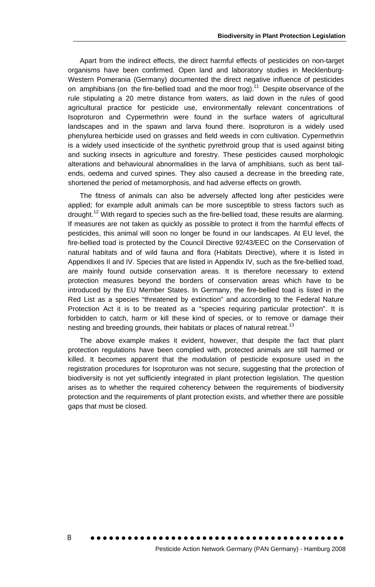Apart from the indirect effects, the direct harmful effects of pesticides on non-target organisms have been confirmed. Open land and laboratory studies in Mecklenburg-Western Pomerania (Germany) documented the direct negative influence of pesticides on amphibians (on the fire-bellied toad and the moor frog).<sup>11</sup> Despite observance of the rule stipulating a 20 metre distance from waters, as laid down in the rules of good agricultural practice for pesticide use, environmentally relevant concentrations of Isoproturon and Cypermethrin were found in the surface waters of agricultural landscapes and in the spawn and larva found there. Isoproturon is a widely used phenylurea herbicide used on grasses and field weeds in corn cultivation. Cypermethrin is a widely used insecticide of the synthetic pyrethroid group that is used against biting and sucking insects in agriculture and forestry. These pesticides caused morphologic alterations and behavioural abnormalities in the larva of amphibians, such as bent tailends, oedema and curved spines. They also caused a decrease in the breeding rate, shortened the period of metamorphosis, and had adverse effects on growth.

The fitness of animals can also be adversely affected long after pesticides were applied; for example adult animals can be more susceptible to stress factors such as drought.<sup>12</sup> With regard to species such as the fire-bellied toad, these results are alarming. If measures are not taken as quickly as possible to protect it from the harmful effects of pesticides, this animal will soon no longer be found in our landscapes. At EU level, the fire-bellied toad is protected by the Council Directive 92/43/EEC on the Conservation of natural habitats and of wild fauna and flora (Habitats Directive), where it is listed in Appendixes II and IV. Species that are listed in Appendix IV, such as the fire-bellied toad, are mainly found outside conservation areas. It is therefore necessary to extend protection measures beyond the borders of conservation areas which have to be introduced by the EU Member States. In Germany, the fire-bellied toad is listed in the Red List as a species "threatened by extinction" and according to the Federal Nature Protection Act it is to be treated as a "species requiring particular protection". It is forbidden to catch, harm or kill these kind of species, or to remove or damage their nesting and breeding grounds, their habitats or places of natural retreat.<sup>13</sup>

The above example makes it evident, however, that despite the fact that plant protection regulations have been complied with, protected animals are still harmed or killed. It becomes apparent that the modulation of pesticide exposure used in the registration procedures for Isoproturon was not secure, suggesting that the protection of biodiversity is not yet sufficiently integrated in plant protection legislation. The question arises as to whether the required coherency between the requirements of biodiversity protection and the requirements of plant protection exists, and whether there are possible gaps that must be closed.

Pesticide Action Network Germany (PAN Germany) - Hamburg 2008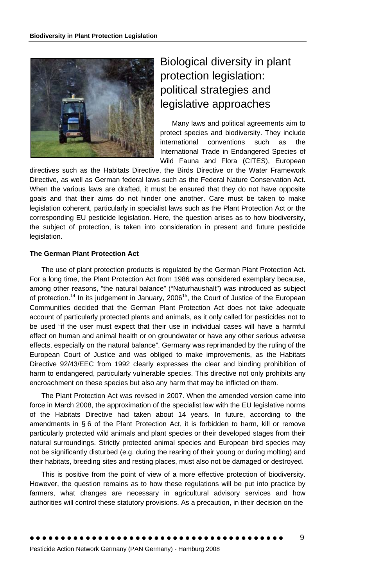

### Biological diversity in plant protection legislation: political strategies and legislative approaches

Many laws and political agreements aim to protect species and biodiversity. They include international conventions such as the International Trade in Endangered Species of Wild Fauna and Flora (CITES), European

directives such as the Habitats Directive, the Birds Directive or the Water Framework Directive, as well as German federal laws such as the Federal Nature Conservation Act. When the various laws are drafted, it must be ensured that they do not have opposite goals and that their aims do not hinder one another. Care must be taken to make legislation coherent, particularly in specialist laws such as the Plant Protection Act or the corresponding EU pesticide legislation. Here, the question arises as to how biodiversity, the subject of protection, is taken into consideration in present and future pesticide legislation.

#### **The German Plant Protection Act**

The use of plant protection products is regulated by the German Plant Protection Act. For a long time, the Plant Protection Act from 1986 was considered exemplary because, among other reasons, "the natural balance" ("Naturhaushalt") was introduced as subject of protection.<sup>14</sup> In its judgement in January, 2006<sup>15</sup>, the Court of Justice of the European Communities decided that the German Plant Protection Act does not take adequate account of particularly protected plants and animals, as it only called for pesticides not to be used "if the user must expect that their use in individual cases will have a harmful effect on human and animal health or on groundwater or have any other serious adverse effects, especially on the natural balance". Germany was reprimanded by the ruling of the European Court of Justice and was obliged to make improvements, as the Habitats Directive 92/43/EEC from 1992 clearly expresses the clear and binding prohibition of harm to endangered, particularly vulnerable species. This directive not only prohibits any encroachment on these species but also any harm that may be inflicted on them.

The Plant Protection Act was revised in 2007. When the amended version came into force in March 2008, the approximation of the specialist law with the EU legislative norms of the Habitats Directive had taken about 14 years. In future, according to the amendments in § 6 of the Plant Protection Act, it is forbidden to harm, kill or remove particularly protected wild animals and plant species or their developed stages from their natural surroundings. Strictly protected animal species and European bird species may not be significantly disturbed (e.g. during the rearing of their young or during molting) and their habitats, breeding sites and resting places, must also not be damaged or destroyed.

This is positive from the point of view of a more effective protection of biodiversity. However, the question remains as to how these regulations will be put into practice by farmers, what changes are necessary in agricultural advisory services and how authorities will control these statutory provisions. As a precaution, in their decision on the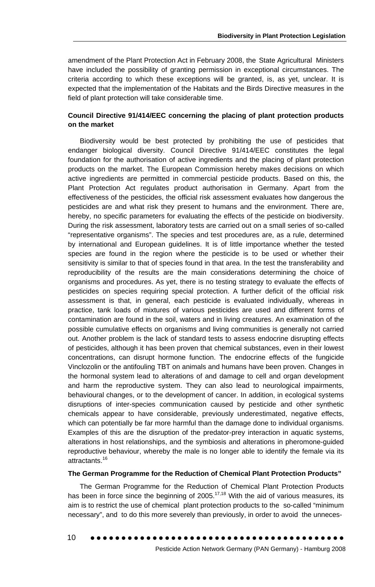amendment of the Plant Protection Act in February 2008, the State Agricultural Ministers have included the possibility of granting permission in exceptional circumstances. The criteria according to which these exceptions will be granted, is, as yet, unclear. It is expected that the implementation of the Habitats and the Birds Directive measures in the field of plant protection will take considerable time.

#### **Council Directive 91/414/EEC concerning the placing of plant protection products on the market**

Biodiversity would be best protected by prohibiting the use of pesticides that endanger biological diversity. Council Directive 91/414/EEC constitutes the legal foundation for the authorisation of active ingredients and the placing of plant protection products on the market. The European Commission hereby makes decisions on which active ingredients are permitted in commercial pesticide products. Based on this, the Plant Protection Act regulates product authorisation in Germany. Apart from the effectiveness of the pesticides, the official risk assessment evaluates how dangerous the pesticides are and what risk they present to humans and the environment. There are, hereby, no specific parameters for evaluating the effects of the pesticide on biodiversity. During the risk assessment, laboratory tests are carried out on a small series of so-called "representative organisms". The species and test procedures are, as a rule, determined by international and European guidelines. It is of little importance whether the tested species are found in the region where the pesticide is to be used or whether their sensitivity is similar to that of species found in that area. In the test the transferability and reproducibility of the results are the main considerations determining the choice of organisms and procedures. As yet, there is no testing strategy to evaluate the effects of pesticides on species requiring special protection. A further deficit of the official risk assessment is that, in general, each pesticide is evaluated individually, whereas in practice, tank loads of mixtures of various pesticides are used and different forms of contamination are found in the soil, waters and in living creatures. An examination of the possible cumulative effects on organisms and living communities is generally not carried out. Another problem is the lack of standard tests to assess endocrine disrupting effects of pesticides, although it has been proven that chemical substances, even in their lowest concentrations, can disrupt hormone function. The endocrine effects of the fungicide Vinclozolin or the antifouling TBT on animals and humans have been proven. Changes in the hormonal system lead to alterations of and damage to cell and organ development and harm the reproductive system. They can also lead to neurological impairments, behavioural changes, or to the development of cancer. In addition, in ecological systems disruptions of inter-species communication caused by pesticide and other synthetic chemicals appear to have considerable, previously underestimated, negative effects, which can potentially be far more harmful than the damage done to individual organisms. Examples of this are the disruption of the predator-prey interaction in aquatic systems, alterations in host relationships, and the symbiosis and alterations in pheromone-guided reproductive behaviour, whereby the male is no longer able to identify the female via its attractants.16

#### **The German Programme for the Reduction of Chemical Plant Protection Products"**

The German Programme for the Reduction of Chemical Plant Protection Products has been in force since the beginning of  $2005$ .<sup>17,18</sup> With the aid of various measures, its aim is to restrict the use of chemical plant protection products to the so-called "minimum necessary", and to do this more severely than previously, in order to avoid the unneces-

••••••••••••••••••••••••••••••••••••••••• 10

Pesticide Action Network Germany (PAN Germany) - Hamburg 2008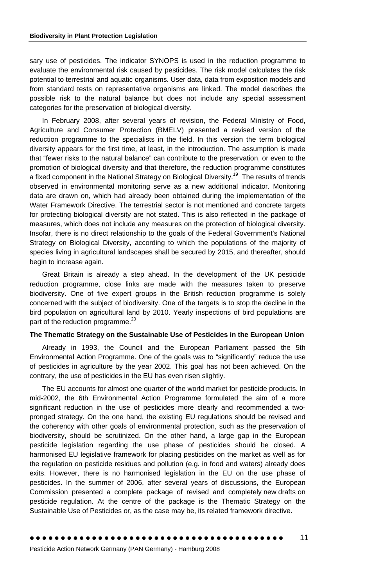sary use of pesticides. The indicator SYNOPS is used in the reduction programme to evaluate the environmental risk caused by pesticides. The risk model calculates the risk potential to terrestrial and aquatic organisms. User data, data from exposition models and from standard tests on representative organisms are linked. The model describes the possible risk to the natural balance but does not include any special assessment categories for the preservation of biological diversity.

In February 2008, after several years of revision, the Federal Ministry of Food, Agriculture and Consumer Protection (BMELV) presented a revised version of the reduction programme to the specialists in the field. In this version the term biological diversity appears for the first time, at least, in the introduction. The assumption is made that "fewer risks to the natural balance" can contribute to the preservation, or even to the promotion of biological diversity and that therefore, the reduction programme constitutes a fixed component in the National Strategy on Biological Diversity.<sup>19</sup> The results of trends observed in environmental monitoring serve as a new additional indicator. Monitoring data are drawn on, which had already been obtained during the implementation of the Water Framework Directive. The terrestrial sector is not mentioned and concrete targets for protecting biological diversity are not stated. This is also reflected in the package of measures, which does not include any measures on the protection of biological diversity. Insofar, there is no direct relationship to the goals of the Federal Government's National Strategy on Biological Diversity, according to which the populations of the majority of species living in agricultural landscapes shall be secured by 2015, and thereafter, should begin to increase again.

Great Britain is already a step ahead. In the development of the UK pesticide reduction programme, close links are made with the measures taken to preserve biodiversity. One of five expert groups in the British reduction programme is solely concerned with the subject of biodiversity. One of the targets is to stop the decline in the bird population on agricultural land by 2010. Yearly inspections of bird populations are part of the reduction programme.<sup>20</sup>

#### **The Thematic Strategy on the Sustainable Use of Pesticides in the European Union**

Already in 1993, the Council and the European Parliament passed the 5th Environmental Action Programme. One of the goals was to "significantly" reduce the use of pesticides in agriculture by the year 2002. This goal has not been achieved. On the contrary, the use of pesticides in the EU has even risen slightly.

The EU accounts for almost one quarter of the world market for pesticide products. In mid-2002, the 6th Environmental Action Programme formulated the aim of a more significant reduction in the use of pesticides more clearly and recommended a twopronged strategy. On the one hand, the existing EU regulations should be revised and the coherency with other goals of environmental protection, such as the preservation of biodiversity, should be scrutinized. On the other hand, a large gap in the European pesticide legislation regarding the use phase of pesticides should be closed. A harmonised EU legislative framework for placing pesticides on the market as well as for the regulation on pesticide residues and pollution (e.g. in food and waters) already does exits. However, there is no harmonised legislation in the EU on the use phase of pesticides. In the summer of 2006, after several years of discussions, the European Commission presented a complete package of revised and completely new drafts on pesticide regulation. At the centre of the package is the Thematic Strategy on the Sustainable Use of Pesticides or, as the case may be, its related framework directive.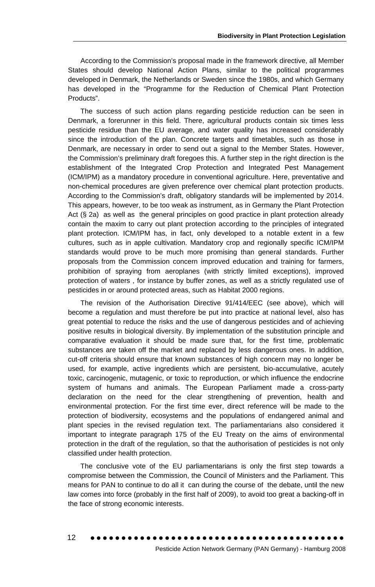According to the Commission's proposal made in the framework directive, all Member States should develop National Action Plans, similar to the political programmes developed in Denmark, the Netherlands or Sweden since the 1980s, and which Germany has developed in the "Programme for the Reduction of Chemical Plant Protection Products".

The success of such action plans regarding pesticide reduction can be seen in Denmark, a forerunner in this field. There, agricultural products contain six times less pesticide residue than the EU average, and water quality has increased considerably since the introduction of the plan. Concrete targets and timetables, such as those in Denmark, are necessary in order to send out a signal to the Member States. However, the Commission's preliminary draft foregoes this. A further step in the right direction is the establishment of the Integrated Crop Protection and Integrated Pest Management (ICM/IPM) as a mandatory procedure in conventional agriculture. Here, preventative and non-chemical procedures are given preference over chemical plant protection products. According to the Commission's draft, obligatory standards will be implemented by 2014. This appears, however, to be too weak as instrument, as in Germany the Plant Protection Act (§ 2a) as well as the general principles on good practice in plant protection already contain the maxim to carry out plant protection according to the principles of integrated plant protection. ICM/IPM has, in fact, only developed to a notable extent in a few cultures, such as in apple cultivation. Mandatory crop and regionally specific ICM/IPM standards would prove to be much more promising than general standards. Further proposals from the Commission concern improved education and training for farmers, prohibition of spraying from aeroplanes (with strictly limited exceptions), improved protection of waters , for instance by buffer zones, as well as a strictly regulated use of pesticides in or around protected areas, such as Habitat 2000 regions.

The revision of the Authorisation Directive 91/414/EEC (see above), which will become a regulation and must therefore be put into practice at national level, also has great potential to reduce the risks and the use of dangerous pesticides and of achieving positive results in biological diversity. By implementation of the substitution principle and comparative evaluation it should be made sure that, for the first time, problematic substances are taken off the market and replaced by less dangerous ones. In addition, cut-off criteria should ensure that known substances of high concern may no longer be used, for example, active ingredients which are persistent, bio-accumulative, acutely toxic, carcinogenic, mutagenic, or toxic to reproduction, or which influence the endocrine system of humans and animals. The European Parliament made a cross-party declaration on the need for the clear strengthening of prevention, health and environmental protection. For the first time ever, direct reference will be made to the protection of biodiversity, ecosystems and the populations of endangered animal and plant species in the revised regulation text. The parliamentarians also considered it important to integrate paragraph 175 of the EU Treaty on the aims of environmental protection in the draft of the regulation, so that the authorisation of pesticides is not only classified under health protection.

The conclusive vote of the EU parliamentarians is only the first step towards a compromise between the Commission, the Council of Ministers and the Parliament. This means for PAN to continue to do all it can during the course of the debate, until the new law comes into force (probably in the first half of 2009), to avoid too great a backing-off in the face of strong economic interests.

••••••••••••••••••••••••••••••••••••••••• 12

Pesticide Action Network Germany (PAN Germany) - Hamburg 2008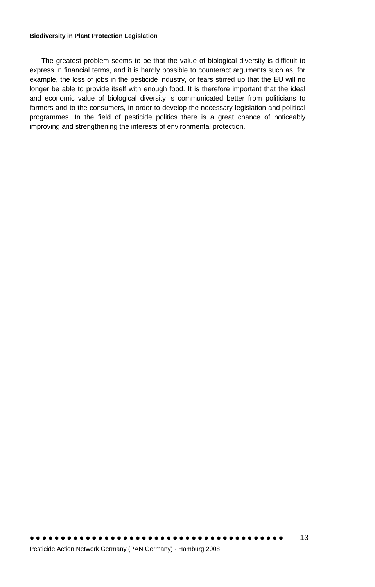#### <span id="page-12-0"></span>**Biodiversity in Plant Protection Legislation**

The greatest problem seems to be that the value of biological diversity is difficult to express in financial terms, and it is hardly possible to counteract arguments such as, for example, the loss of jobs in the pesticide industry, or fears stirred up that the EU will no longer be able to provide itself with enough food. It is therefore important that the ideal and economic value of biological diversity is communicated better from politicians to farmers and to the consumers, in order to develop the necessary legislation and political programmes. In the field of pesticide politics there is a great chance of noticeably improving and strengthening the interests of environmental protection.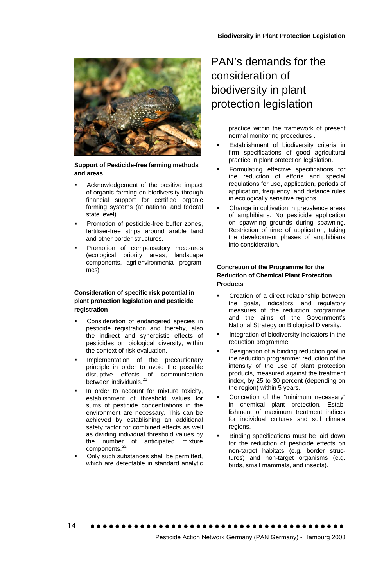

#### **Support of Pesticide-free farming methods and areas**

- Acknowledgement of the positive impact of organic farming on biodiversity through financial support for certified organic farming systems (at national and federal state level).
- Promotion of pesticide-free buffer zones, fertiliser-free strips around arable land and other border structures.
- Promotion of compensatory measures (ecological priority areas, landscape components, agri-environmental programmes).

#### **Consideration of specific risk potential in plant protection legislation and pesticide registration**

- Consideration of endangered species in pesticide registration and thereby, also the indirect and synergistic effects of pesticides on biological diversity, within the context of risk evaluation.
- Implementation of the precautionary principle in order to avoid the possible disruptive effects of communication between individuals.<sup>21</sup>
- In order to account for mixture toxicity, establishment of threshold values for sums of pesticide concentrations in the environment are necessary. This can be achieved by establishing an additional safety factor for combined effects as well as dividing individual threshold values by the number of anticipated mixture components.<sup>22</sup>
- Only such substances shall be permitted, which are detectable in standard analytic

14

### PAN's demands for the consideration of biodiversity in plant protection legislation

practice within the framework of present normal monitoring procedures .

- Establishment of biodiversity criteria in firm specifications of good agricultural practice in plant protection legislation.
- Formulating effective specifications for the reduction of efforts and special regulations for use, application, periods of application, frequency, and distance rules in ecologically sensitive regions.
- Change in cultivation in prevalence areas of amphibians. No pesticide application on spawning grounds during spawning. Restriction of time of application, taking the development phases of amphibians into consideration.

#### **Concretion of the Programme for the Reduction of Chemical Plant Protection Products**

- Creation of a direct relationship between the goals, indicators, and regulatory measures of the reduction programme and the aims of the Government's National Strategy on Biological Diversity.
- Integration of biodiversity indicators in the reduction programme.
- Designation of a binding reduction goal in the reduction programme: reduction of the intensity of the use of plant protection products, measured against the treatment index, by 25 to 30 percent (depending on the region) within 5 years.
- Concretion of the "minimum necessary" in chemical plant protection. Establishment of maximum treatment indices for individual cultures and soil climate regions.
- Binding specifications must be laid down for the reduction of pesticide effects on non-target habitats (e.g. border structures) and non-target organisms (e.g. birds, small mammals, and insects).

••••••••••••••••••••••••••••••••••••••••• Pesticide Action Network Germany (PAN Germany) - Hamburg 2008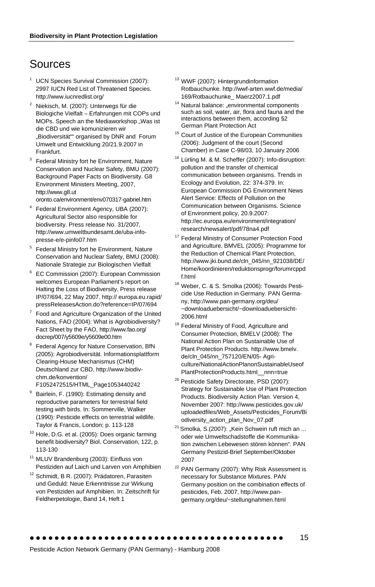### Sources

- 1 UCN Species Survival Commission (2007): 2997 IUCN Red List of Threatened Species. http://www.iucnredlist.org/
- 2 Niekisch, M. (2007): Unterwegs für die Biologiche Vielfalt – Erfahrungen mit COPs und MOPs. Speech an the Mediaworkshop "Was ist die CBD und wie komunizieren wir "Biodiversität"" organised by DNR and Forum Umwelt und Entwicklung 20/21.9.2007 in **Frankfurt**
- <sup>3</sup> Federal Ministry fort he Environment, Nature Conservation and Nuclear Safety, BMU (2007): Background Paper Facts on Biodiversity. G8 Environment Ministers Meeting, 2007, [http://www.g8.ut](http://www.g8.ut%20%0Boronto.ca/environment/)
- [oronto.ca/environment/](http://www.g8.ut%20%0Boronto.ca/environment/)env070317-gabriel.htm
- Federal Environment Agency, UBA (2007): Agricultural Sector also responsible for biodiversity. Press release No. 31/2007, http://www.umweltbundesamt.de/uba-infopresse-e/e-pinfo07.htm
- 5 Federal Ministry fort he Environment, Nature Conservation and Nuclear Safety, BMU (2008): Nationale Strategie zur Biologischen Vielfalt
- <sup>6</sup> EC Commission (2007): European Commission welcomes European Parliament's report on Halting the Loss of Biodiversity. Press release IP/07/694, 22 May 2007. http:// europa.eu.rapid/ pressReleasesAction.do?reference=IP/07/694
- 7 Food and Agriculture Organization of the United Nations, FAO (2004): What is Agrobiodiversity? Fact Sheet by the FAO, [http://www.fao.org/](http://www.fao.org/%20docrep/007/y5609e/y5609e00.htm)  [docrep/007/y5609e/y5609e00.htm](http://www.fao.org/%20docrep/007/y5609e/y5609e00.htm)
- 8 Federal Agency for Nature Conservation, BfN (2005): Agrobiodiversität. Informationsplattform Clearing-House Mechanismus (CHM) Deutschland zur CBD, http://www.biodivchm.de/konvention/ F1052472515/HTML\_Page1053440242
- Bairlein, F. (1990): Estimating density and reproductive parameters for terrestrial field testing with birds. In: Sommerville, Walker (1990): Pesticide effects on terrestrial wildlife. Taylor & Francis, London; p. 113-128
- <sup>10</sup> Hole, D.G. et al. (2005): Does organic farming benefit biodiversity? Biol. Conservation, 122, p. 113-130
- <sup>11</sup> MLUV Brandenburg (2003): Einfluss von Pestiziden auf Laich und Larven von Amphibien
- 12 Schmidt, B R. (2007): Prädatoren, Parasiten und Geduld: Neue Erkenntnisse zur Wirkung von Pestiziden auf Amphibien. In: Zeitschrift für Feldherpetologie, Band 14, Heft 1
- <sup>13</sup> WWF (2007): Hintergrundinformation Rotbauchunke. <http://wwf-arten.wwf.de/media/>
- 169/Rotbauchunke\_ Maerz2007.1.pdf 14 Natural balance: "environmental components such as soil, water, air, flora and fauna and the interactions between them, according §2 German Plant Protection Act
- <sup>15</sup> Court of Justice of the European Communities (2006): Judgment of the court (Second Chamber) in Case C-98/03, 10 January 2006
- <sup>16</sup> Lürling M. & M. Scheffer (2007): Info-disruption: pollution and the transfer of chemical communication between organisms. Trends in Ecology and Evolution, 22: 374-379. In: European Commission DG Environment News Alert Service: Effects of Pollution on the Communication between Organisms. Science of Environment policy, 20.9.2007: <http://ec.europa.eu/environment/integration/> research/newsalert/pdf/78na4.pdf
- <sup>17</sup> Federal Ministry of Consumer Protection Food and Agriculture, BMVEL (2005): Programme for the Reduction of Chemical Plant Protection, http://www.jki.bund.de/cln\_045/nn\_921038/DE/ Home/koordinieren/reduktionsprogr/forumrcppd f.html
- <sup>18</sup> Weber, C. & S. Smolka (2006): Towards Pesticide Use Reduction in Germany. PAN Germany, [http://www.pan-germany.org/d](http://www.pan-germany.org/)eu/ ~downloaduebersicht/~downloaduebersicht-2006.html
- <sup>19</sup> Federal Ministry of Food, Agriculture and Consumer Protection, BMELV (2008): [The](http://www.bmelv.de/cln_045/nn_757120/EN/05-Agriculture/NationalActionPlanonSustainableUseofPlantProtectionProducts.html__nnn=true)  [National Action Plan on Sustainable Use of](http://www.bmelv.de/cln_045/nn_757120/EN/05-Agriculture/NationalActionPlanonSustainableUseofPlantProtectionProducts.html__nnn=true)  [Plant Protection Products.](http://www.bmelv.de/cln_045/nn_757120/EN/05-Agriculture/NationalActionPlanonSustainableUseofPlantProtectionProducts.html__nnn=true) http://www.bmelv. de/cln\_045/nn\_757120/EN/05- Agriculture/NationalActionPlanonSustainableUseof PlantProtectionProducts.html\_\_nnn=true
- <sup>20</sup> Pesticide Safety Directorate, PSD (2007): Strategy for Sustainable Use of Plant Protection Products. Biodiversity Action Plan. Version 4, November 2007:<http://www.pesticides.gov.uk/> uploadedfiles/Web\_Assets/Pesticides\_Forum/Bi odiversity\_action\_plan\_Nov\_07.pdf
- $^{21}$  Smolka, S.(2007): "Kein Schwein ruft mich an ... oder wie Umweltschadstoffe die Kommunikation zwischen Lebewesen stören können". [PAN](http://www.pan-germany.org/deu/pestizid_brief.html)  [Germany Pestizid-Brief](http://www.pan-germany.org/deu/pestizid_brief.html) September/Oktober 2007
- <sup>22</sup> PAN Germany (2007): Why Risk Assessment is necessary for Substance Mixtures. PAN Germany position on the combination effects of pesticides, Feb. 2007, http://www.pangermany.org/deu/~stellungnahmen.html